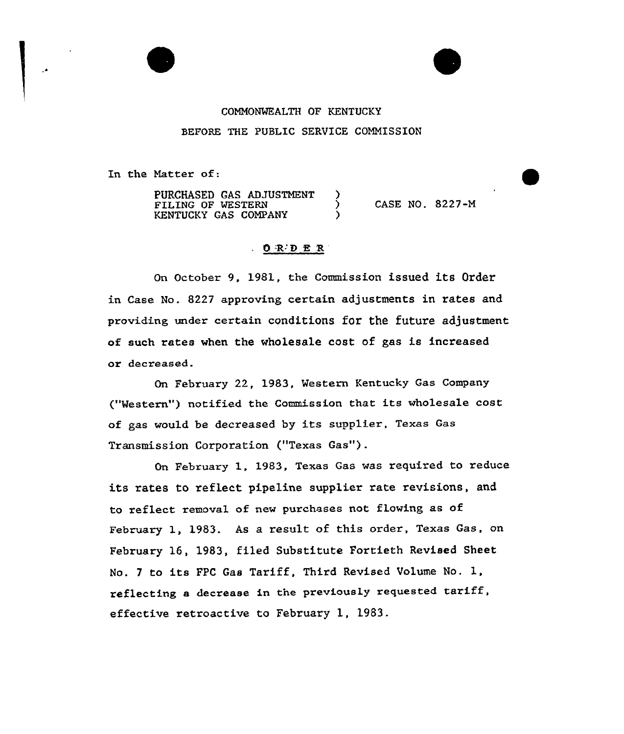## COMMONWEALTH OF KENTUCKY BEFORE THE PUBLIC SERUICE COMMISSION

In the Natter of:

PURCHASED GAS ADJUSTMENT )<br>FILING OF WESTERN ) FILING OF WESTERN KENTUCKY GAS COMPANY CASE NO. 8227-M

## $O \tR$   $D \tR$   $R$

On October 9, 1981, the Commission issued its Order in Case No. 8227 approving certain adjustments in rates and providing under certain conditions for the future adjustment of such rates when the wholesale cost of gas is increased or decreased.

On February 22, 1983, western Kentucky Gas Company ("Mestern") notified the Commission that its wholesale cost of gas would be decreased by its supplier, Texas Gas Transmission Corporation ("Texas Gas").

On February 1, 1983, Texas Gas was required to reduce its rates to reflect pipeline supplier rate revisions, and to reflect removal of new purchases not flowing as of February 1, 1983. As a result of this order, Texas Gas, on Febxuaxy 16, 1983, filed Substitute Fortieth Revised Sheet No. <sup>7</sup> to its FPC Gas Tariff, Third Revised Volume No. 1, reflecting <sup>a</sup> decrease in the previously requested taxiff, effective retroactive to February 1, 1983.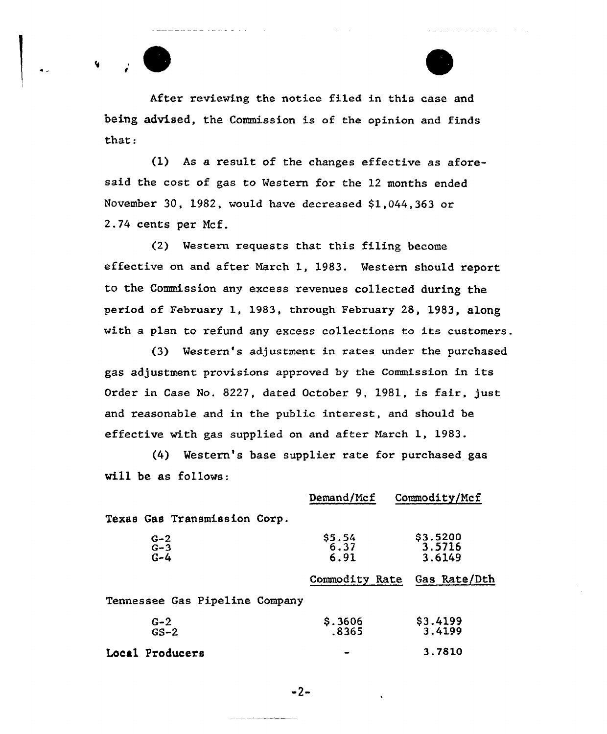After reviewing the notice filed in this case and being advised, the Commission is of the opinion and finds that:

(1) As a result of the changes effective as aforesaid the cost of gas to Western for the 12 months ended November 30, 1982, would have decreased  $$1,044,363$  or 2.74 cents per Ncf.

(2) Western requests that this filing become effective on and after Narch 1, 1983. Western should. report to the Commission any excess revenues collected during the period of February 1, 1983, through February 28, 1983, along with a plan to refund any excess collections to its customers.

(3) Western's adjustment in rates under the purchased gas adjustment provisions approved by the Commission in its Order in Case No, 8227, dated October 9, 1981, is fair, just and reasonable and in the public interest, and should be effective with gas supplied on and after March 1, 1983.

(4) Mestern's base supplier rate for purchased gas will be as follows:

|                                | Demand/Mcf              | Commodity/Mcf                |
|--------------------------------|-------------------------|------------------------------|
| Texas Gas Transmission Corp.   |                         |                              |
| $G-2$<br>$G-3$<br>$G-4$        | $$5.54$<br>6.37<br>6.91 | \$3.5200<br>3.5716<br>3.6149 |
|                                | Commodity Rate          | Gas Rate/Dth                 |
| Tennessee Gas Pipeline Company |                         |                              |
| $G-2$<br>$GS-2$                | \$.3606<br>.8365        | \$3.4199<br>3.4199           |
| Local Producers                |                         | 3.7810                       |

 $-2-$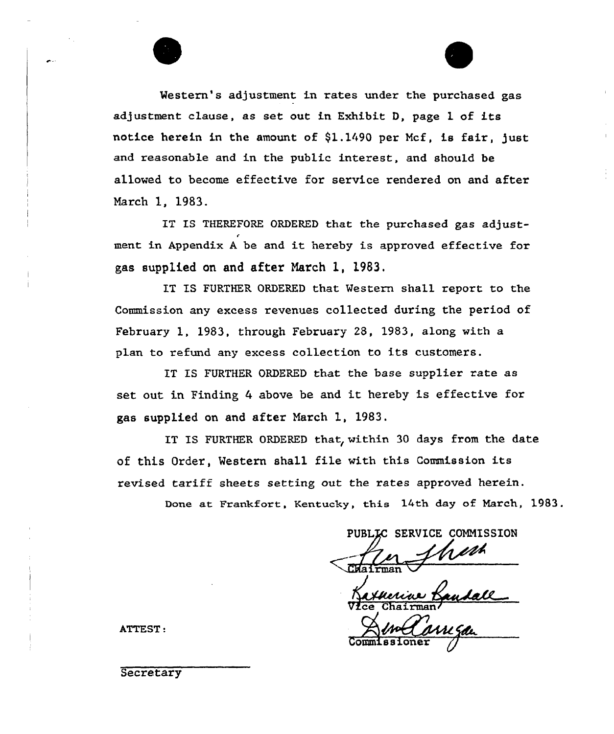Western's adjustment in rates under the purchased gas adjustment clause, as set out in Exhibit D, page 1 of its notice herein in the amount of  $$1.1490$  per Mcf, is fair, just and reasonable and in the public interest, and should be allowed to become effective for service rendered on and after March 1, 1983.

IT IS THEREFORE ORDERED that the purchased gas adjustment in Appendix <sup>A</sup> be and it hereby is approved effective for gas supplied on and after March 1, 1983.

IT TS FURTHER ORDERED that Western shall report to the Commission any excess revenues collected dux'ing the period of Februaxy 1, 1983, through February 28, 1983, along with a plan to refund any excess collection to its customers.

IT IS FURTHER ORDERED that the base supplier rate as set out in Finding <sup>4</sup> above be and it hereby is effective for gas supplied on and aftex March 1, 1983.

IT IS FURTHER ORDERED that, within 30 days from the date of this Ordex', Western shall file with this Commission its revised tariff sheets setting out the rates approved herein.

Done at Frankfort, Kentucky, this 14th day of March, 1983.

PUBLIC SERVICE COMMISSION  $\frac{1}{1 \text{tran}}$ 

Vfce Chairman/

Commissioner /

ATTEST .

**Secretary**